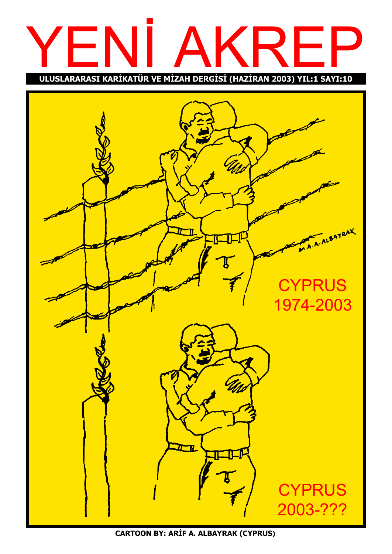# YEN › AKREP

ULUSLARARASI KARİKATÜR VE MİZAH DERGİSİ (HAZİRAN 2003) YIL:1 SAYI:10



CARTOON BY: ARİF A. ALBAYRAK (CYPRUS)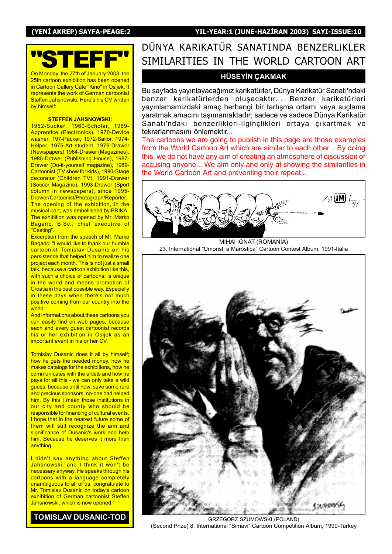(YENİ AKREP) SAYFA-PEAGE:2 YIL-YEAR:1 (JUNE-HAZİRAN 2003) SAYI-ISSUE:10



On Monday, the 27th of January 2003, the 25th cartoon exhibition has been opened in Cartoon Gallery Càfe "Kino" in Osijek. It represents the work of German cartoonist Steffen Jahsnowski. Here's his CV written by himself:

#### STEFFEN JAHSNOWSKI:

1952-Sucker, 1960-Scholar, 1969- Apprentice (Electronics), 1970-Device washer, 197-Packer, 1972-Sailor, 1974-Helper, 1975-Art student, 1976-Drawer (Newspapers),1984-Drawer (Magazines), 1985-Drawer (Publishing House), 1987- Drawer (Do-it-yourself magazine), 1989- Cartoonist (TV show for kids), 1990-Stage decorator (Children TV), 1991-Drawer (Soccer Magazine), 1993-Drawer (Sport column in newspapers), since 1995- Drawer/Cartoonist/Photograph/Reporter. The opening of the exhibition, in the musical part, was embellished by PRIKA. The exhibition was opened by Mr. Marko Bagaric, B.Sc., chief executive of "Cesting".

Excerption from the speech of Mr. Marko Bagaric: "I would like to thank our humble cartoonist Tomislav Dusanic on his persistence that helped him to realize one project each month. This is not just a small talk, because a cartoon exhibition like this, with such a choice of cartoons, is unique in the world and means promotion of Croatia in the best possible way. Especially in these days when there's not much positive coming from our country into the world.

And informations about these cartoons you can easily find on web pages, because each and every guest cartoonist records his or her exhibition in Osijek as an important event in his or her CV.

Tomislav Dusanic does it all by himself; how he gets the needed money, how he makes catalogs for the exhibitions, how he communicates with the artists and how he pays for all this - we can only take a wild guess, because until now, save some rare and precious sponsors, no-one had helped him. By this I mean those institutions in our city and county who should be responsible for financing of cultural events. I hope that in the nearest future some of them will still recognize the aim and significance of Dusanic's work and help him. Because he deserves it more than anything.

I didn't say anything about Steffen Jahsnowski, and I think it won't be necessary anyway. He speaks through his cartoons with a language completely unambiguous to all of us. congratulate to Mr. Tomislav Dusanic on today's cartoon exhibition of German cartoonist Steffen Jahsnowski, which is now opened."

TOMISLAV DUSANIC-TOD

# DÜNYA KARIKATÜR SANATINDA BENZERLIKLER SIMILARITIES IN THE WORLD CARTOON ART

#### **HÜSEYİN ÇAKMAK**

Bu sayfada yayınlayacağımız karikatürler, Dünya Karikatür Sanatı'ndaki benzer karikatürlerden oluşacaktır... Benzer karikatürleri yayınlamamızdaki amaç herhangi bir tartışma ortamı veya suçlama yaratmak amacını taşımamaktadır; sadece ve sadece Dünya Karikatür Sanatı'ndaki benzerlikleri-ilginçlikleri ortaya çıkartmak ve tekrarlanmasını önlemektir...

The cartoons we are going to publish in this page are those examples from the World Cartoon Art which are similar to each other... By doing this, we do not have any aim of creating an atmosphere of discussion or accusing anyone... We aim only and only at showing the similarities in the World Cartoon Art and preventing their repeat...



MIHAI IGNAT (ROMANIA) 23. International "Umoristi a Marostica" Cartoon Contest Album, 1991-Italia



GRZEGORZ SZUMOWSKI (POLAND) (Second Prize) 8. International "Simavi" Cartoon Competition Album, 1990-Turkey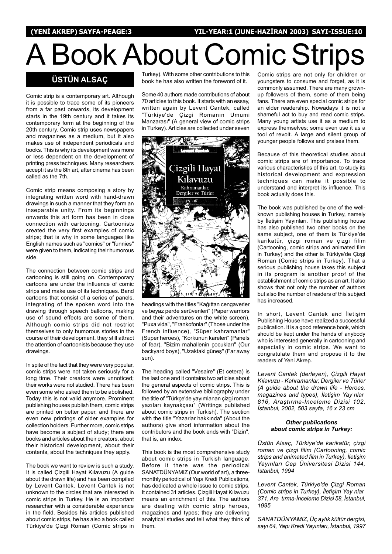(YENİ AKREP) SAYFA-PEAGE:3 YIL-YEAR:1 (JUNE-HAZİRAN 2003) SAYI-ISSUE:10

# A Book About Comic Strips

#### **ÜSTÜN ALSAC**

Comic strip is a contemporary art. Although it is possible to trace some of its pioneers from a far past onwards, its development starts in the 19th century and it takes its contemporary form at the beginning of the 20th century. Comic strip uses newspapers and magazines as a medium, but it also makes use of independent periodicals and books. This is why its development was more or less dependent on the development of printing press techniques. Many researchers accept it as the 8th art, after cinema has been called as the 7th.

Comic strip means composing a story by integrating written word with hand-drawn drawings in such a manner that they form an inseparable unity. From its beginnings onwards this art form has been in close connection with cartooning. Cartoonists created the very first examples of comic strips; that is why in some languages like English names such as "comics" or "funnies" were given to them, indicating their humorous side.

The connection between comic strips and cartooning is still going on. Contemporary cartoons are under the influence of comic strips and make use of its techniques. Band cartoons that consist of a series of panels, integrating of the spoken word into the drawing through speech balloons, making use of sound effects are some of them. Although comic strips did not restrict themselves to only humorous stories in the course of their development, they still attract the attention of cartoonists because they use drawings.

In spite of the fact that they were very popular, comic strips were not taken seriously for a long time. Their creators were unnoticed; their works were not studied. There has been even some who asked them to be abolished. Today this is not valid anymore. Prominent publishing houses publish them, comic strips are printed on better paper, and there are even new printings of older examples for collection holders. Further more, comic strips have become a subject of study; there are books and articles about their creators, about their historical development, about their contents, about the techniques they apply.

The book we want to review is such a study. It is called Çizgili Hayat Kılavuzu (A guide about the drawn life) and has been compiled by Levent Cantek. Levent Cantek is not unknown to the circles that are interested in comic strips in Turkey. He is an important researcher with a considerable experience in the field. Besides his articles published about comic strips, he has also a book called Türkiye'de Çizgi Roman (Comic strips in

Turkey). With some other contributions to this book he has also written the foreword of it.

Some 40 authors made contributions of about 70 articles to this book. It starts with an essay, written again by Levent Cantek, called "Türkiye'de Çizgi Romanın Umumi Manzarası" (A general view of comic strips in Turkey). Articles are collected under seven



headings with the titles "Kağıttan cengaverler ve beyaz perde serüvenleri" (Paper warriors and their adventures on the white screen), "Puxa vida", "Frankofonlar" (Those under the French influence), "Süper kahramanlar" (Super heroes), "Korkunun kareleri" (Panels of fear), "Bizim mahallenin çocukları" (Our backyard boys), "Uzaktaki güneş" (Far away sun).

The heading called "Vesaire" (Et cetera) is the last one and it contains two articles about the general aspects of comic strips. This is followed by an extensive bibliography under the title of "Türkçe'de yayımlanan çizgi roman yazıları kaynakçası" (Writings published about comic strips in Turkish). The section with the title "Yazarlar hakkında" (About the authors) give short information about the contributors and the book ends with "Dizin", that is, an index.

This book is the most comprehensive study about comic strips in Turkish language. Before it there was the periodical SANATDÜNYAMIZ (Our world of art), a threemonthly periodical of Yapı Kredi Publications, has dedicated a whole issue to comic strips. It contained 31 articles. Çizgili Hayat Kılavuzu means an enrichment of this. The authors are dealing with comic strip heroes, magazines and types; they are delivering analytical studies and tell what they think of them.

Comic strips are not only for children or youngsters to consume and forget, as it is commonly assumed. There are many grownup followers of them, some of them being fans. There are even special comic strips for an elder readership. Nowadays it is not a shameful act to buy and read comic strips. Many young artists use it as a medium to express themselves; some even use it as a tool of revolt. A large and silent group of younger people follows and praises them.

Because of this theoretical studies about comic strips are of importance. To trace various characteristics of this art, to study its historical development and expression techniques can make it possible to understand and interpret its influence. This book actually does this.

The book was published by one of the wellknown publishing houses in Turkey, namely by İletişim Yayınları. This publishing house has also published two other books on the same subject, one of them is Türkiye'de karikatür, çizgi roman ve çizgi filim (Cartooning, comic strips and animated film in Turkey) and the other is Türkiye'de Çizgi Roman (Comic strips in Turkey). That a serious publishing house takes this subject in its program is another proof of the establishment of comic strips as an art. It also shows that not only the number of authors but also the number of readers of this subject has increased.

In short, Levent Cantek and İletişim Publishing House have realized a successful publication. It is a good reference book, which should be kept under the hands of anybody who is interested generally in cartooning and especially in comic strips. We want to congratulate them and propose it to the readers of Yeni Akrep.

Levent Cantek (derleyen), Çizgili Hayat Kılavuzu - Kahramanlar, Dergiler ve Türler (A guide about the drawn life - Heroes, magazines and types), İletişim Yay nlar 816, Araştırma-İnceleme Dizisi 102, İstanbul, 2002, 503 sayfa, 16 x 23 cm

#### Other publications about comic strips in Turkey:

Üstün Alsaç, Türkiye'de karikatür, çizgi roman ve çizgi filim (Cartooning, comic strips and animated film in Turkey), İletişim Yayınları Cep Üniversitesi Dizisi 144, İstanbul, 1994

Levent Cantek, Türkiye'de Çizgi Roman (Comic strips in Turkey), İletişim Yay nlar 371, Ara tırma-İnceleme Dizisi 58, İstanbul, 1995

SANATDÜNYAMIZ, Üç aylık kültür dergisi, sayı 64, Yapı Kredi Yayınları, İstanbul, 1997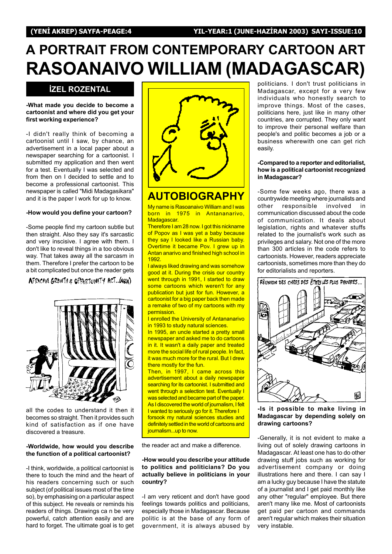# A PORTRAIT FROM CONTEMPORARY CARTOON ART RASOANAIVO WILLIAM (MADAGASCAR)

#### **İZEL ROZENTAL**

#### -What made you decide to become a cartoonist and where did you get your first working experience?

-I didn't really think of becoming a cartoonist until I saw, by chance, an advertisement in a local paper about a newspaper searching for a cartoonist. I submitted my application and then went for a test. Eventually I was selected and from then on I decided to settle and to become a professional cartoonist. This newspaper is called "Midi Madagasikara" and it is the paper I work for up to know.

#### -How would you define your cartoon?

-Some people find my cartoon subtle but then straight. Also they say it's sarcastic and very inscisive. I agree with them. I don't like to reveal things in a too obvious way. That takes away all the sarcasm in them. Therefore I prefer the cartoon to be a bit complicated but once the reader gets

AFRICAN GROWTH & OPPORTUNITY ACT. (AGOA)



all the codes to understand it then it becomes so straight. Then it provides such kind of satisfaction as if one have discovered a treasure.

#### -Worldwide, how would you describe the function of a political cartoonist?

-I think, worldwide, a political cartoonist is there to touch the mind and the heart of his readers concerning such or such subject (of political issues most of the time so), by emphasising on a particular aspect of this subject. He reveals or reminds his readers of things. Drawings ca n be very powerful, catch attention easily and are hard to forget. The ultimate goal is to get



# AUTOBIOGRAPHY

My name is Rasoanaivo William and I was born in 1975 in Antananarivo, Madagascar.

Therefore I am 28 now. I got this nickname of Popov as I was yet a baby because they say I looked like a Russian baby. Overtime it became Pov. I grew up in Antan anarivo and finished high school in 1992.

I always liked drawing and was somehow good at it. During the crisis our country went through in 1991, I started to draw some cartoons which weren't for any publication but just for fun. However, a cartoonist for a big paper back then made a remake of two of my cartoons with my permission.

I enrolled the University of Antananarivo in 1993 to study natural sciences.

In 1995, an uncle started a pretty small newspaper and asked me to do cartoons in it. It wasn't a daily paper and treated more the social life of rural people. In fact, it was much more for the rural. But I drew there mostly for the fun.

Then, in 1997, I came across this advertisement about a daily newspaper searching for its cartoonist. I submitted and went through a selection test. Eventually I was selected and became part of the paper. As I discovered the world of journalism, I felt I wanted to seriously go for it. Therefore I

forsook my natural sciences studies and definitely settled in the world of cartoons and journalism...up to now.

the reader act and make a difference.

#### -How would you describe your attitude to politics and politicians? Do you actually believe in politicians in your country?

-I am very reticent and don't have good feelings towards politics and politicians, especially those in Madagascar. Because politic is at the base of any form of government, it is always abused by politicians. I don't trust politicians in Madagascar, except for a very few individuals who honestly search to improve things. Most of the cases, politicians here, just like in many other countries, are corrupted. They only want to improve their personal welfare than people's and politic becomes a job or a business wherewith one can get rich easily.

#### -Compared to a reporter and editorialist, how is a political cartoonist recognized in Madagascar?

-Some few weeks ago, there was a countrywide meeting where journalists and other responsible involved in communication discussed about the code of communication. It deals about legislation, rights and whatever stuffs related to the journalist's work such as privileges and salary. Not one of the more than 300 articles in the code refers to cartoonists. However, readers appreciate cartoonists, sometimes more than they do for editorialists and reporters.



-Is it possible to make living in Madagascar by depending solely on drawing cartoons?

-Generally, it is not evident to make a living out of solely drawing cartoons in Madagascar. At least one has to do other drawing stuff jobs such as working for advertisement company or doing illustrations here and there. I can say I am a lucky guy because I have the statute of a journalist and I get paid monthly like any other "regular" employee. But there aren't many like me. Most of cartoonists get paid per cartoon and commands aren't regular which makes their situation very instable.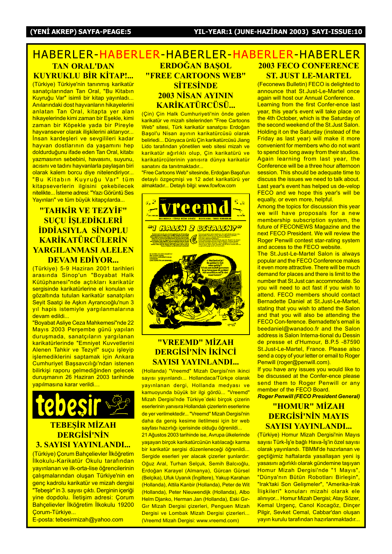#### HABERLER-HABERLER-HABERLER-HABERLER-HABERLER ERDOĞAN BASOL "FREE CARTOONS WEB" 2003 FECO CONFERENCE ST. JUST LE-MARTEL TAN ORAL'DAN KUYRUKLU BİR KİTAP!... (Türkiye) Türkiye'nin tanınmış karikatür

sanatçılarından Tan Oral, "Bu Kitabın Kuyruğu Var" isimli bir kitap yayınladı... Anılarındaki dost hayvanların hikayelerini anlatan Tan Oral, kitapta yer alan hikayelerinde kimi zaman bir Esekle, kimi zaman bir Köpekle yada bir Pireyle hayvansever olarak ilişkilerini aktarıyor... Insan kardesleri ve sevgilileri kadar hayvan dostlarının da yaşamını hep doldurduğunu ifade eden Tan Oral, kitabı vazmasının sebebini, havasını, suyunu, acısını ve tadını hayvanlarla paylaşan biri olarak kalem borcu diye nitelendiriyor... "Bu Kitabın Kuyruğu Var" tüm kitapseverlerin ilgisini çekebilecek nitelikte... İsteme adresi: "Yazı Görüntü Ses Yayınları" ve tüm büyük kitapçılarda...

#### <u>"TAHKİR VE TEZYİF"</u> **SUCU İSLEDİKLERİ İDDİASIYLA SİNOPLU** KARİKATÜRCÜLERİN YARGILANMASI ALELEN DEVAM EDİYOR...

(Türkiye) 5-9 Haziran 2001 tarihleri arasında Sinop'un "Boyabat Halk Kütüphanesi"nde açtıkları karikatür sergisinde karikatürlerine el konulan ve gözaltında tutulan karikatür sanatçıları Seyit Saatçi ile Aşkın Ayrancıoğlu'nun 3 yıl hapis istemiyle yargılanmalarına devam edildi...

"Boyabat Asliye Ceza Mahkemesi"nde 22 Mayıs 2003 Perşembe günü yapılan duruşmada, sanatçıların yargılanan karikatürlerinde "Emniyet Kuvvetlerini Alenen Tahkir ve Tezyif" suçu işleyip islemediklerini saptamak için Ankara Cumhuriyet Başsavcılığı'ndan istenen bilirkişi raporu gelmediğinden gelecek duruşmanın 26 Haziran 2003 tarihinde vapılmasına karar verildi...



#### 3. SAYISI YAYINLANDI...

(Türkiye) Çorum Bahçelievler İlköğretim İlkokulu-Karikatür Okulu tarafından yayınlanan ve ilk-orta-lise öğrencilerinin çalışmalarından oluşan Türkiye'nin en genç kadrolu karikatür ve mizah dergisi "Tebeşir" in 3. sayısı çıktı. Derginin içeriği yine dopdolu. İletişim adresi: Çorum Bahçelievler İlköğretim İlkokulu 19200 Corum-Türkiye...

E-posta: tebesirmizah@yahoo.com

# **SİTESİNDE** 2003 NİSAN AYININ KARİKATÜRCÜSÜ...

(Çin) Çin Halk Cumhuriyeti'nin önde gelen karikatür ve mizah sitelerinden "Free Cartoons Web" sitesi, Türk karikatür sanatçısı Erdoğan Basol'u Nisan ayının karikatürcüsü olarak belirledi... Dünyaca ünlü Çin karikatürcüsü Jiang Lido tarafından yönetilen web sitesi mizah ve karikatür ağırlıklı olup, Çin karikatürü ve karikatürcülerinin yanısıra dünya karikatür sanatını da tanıtmaktadır...

"Free Cartoons Web" sitesinde, Erdoğan Basol'un detaylı özgeçmişi ve 12 adet karikatürü yer almaktadır... Detaylı bilgi: www.fcwfcw.com



#### <u>"VREEMD" MİZAH</u> DERGİSİ'NİN İKİNCİ SAYISI YAYINLANDI...

(Hollanda) "Vreemd" Mizah Dergisi'nin ikinci sayısı yayınlandı... Hollandaca/Türkçe olarak yayınlanan dergi, Hollanda medyası ve kamuoyunda büyük bir ilgi gördü... "Vreemd" Mizah Dergisi'nde Türkiye'deki birçok çizerin eserlerinin yanısıra Hollandalı çizerlerin eserlerine de yer verilmektedir... "Vreemd" Mizah Dergisi'nin daha da geniş kesime iletilmesi için bir web sayfası hazırlığı içerisinde olduğu öğrenildi...

21 Ağustos 2003 tarihinde ise, Avrupa ülkelerinde yaşayan birçok karikatürcünün katılacağı karma bir karikatür sergisi düzenleneceği öğrenildi... Sergide eserleri yer alacak çizerler şunlardır: Oğuz Aral, Turhan Selçuk, Semih Balcıoğlu, Erdoğan Karayel (Almanya), Gürcan Gürsel (Belçika), Ufuk Uyanık (İngiltere), Yakup Karahan (Hollanda), Attila Kanbir (Hollanda), Peter de Wit (Hollanda), Peter Nieuwendijk (Hollanda), Albo Helm Djanko, Herman Jan (Hollanda), Eski Gır-Gır Mizah Dergisi çizerleri, Penguen Mizah Dergisi ve Lombak Mizah Dergisi çizerleri... (Vreemd Mizah Dergisi: www.vreemd.com)

(Feconews Bulletin) FECO is delighted to announce that St.Just-Le-Martel once again will host our Annual Conference. Learning from the first Confer-ence last year, this year's event will take place on the 4th October, which is the Saturday of the second weekend of the St.Just Salon. Holding it on the Saturday (instead of the Friday as last year) will make it more convenient for members who do not want to spend too long away from their studios. Again learning from last year, the Conference will be a three hour afternoon session. This should be adequate time to discuss the issues we need to talk about. Last year's event has helped us de-velop FECO and we hope this year's will be equally, or even more, helpful.

Among the topics for discussion this year we will have proposals for a new membership subscription system, the future of FECONEWS Magazine and the next FECO President. We will review the Roger Penwill contest star-rating system and access to the FECO website.

The St.Just-Le-Martel Salon is always popular and the FECO Conference makes it even more attractive. There will be much demand for places and there is limit to the number that St.Just can accommodate. So you will need to act fast if you wish to attend. FECO members should contact Bernadette Daniel at St.Just-Le-Martel, stating that you wish to attend the Salon and that you will also be attending the FECO Con-ference. Bernadette's email is beedaniel@wanadoo.fr and the Salon address is Salon Interna-tional du Dessin de presse et d'Humour, B.P.5 -87590 St.Just-Le-Martel, France. Please also send a copy of your letter or email to Roger Penwill (roger@penwill.com).

If you have any issues you would like to be discussed at the Confer-ence please send them to Roger Penwill or any member of the FECO Board.

Roger Penwill (FECO President General)

#### "HOMUR" MİZAH DERGİSİ'NİN MAYIS SAYISI YAYINLANDI...

(Türkiye) Homur Mizah Dergisi'nin Mayıs sayısı Türk-İş'e bağlı Hava-İş'in özel sayısı olarak yayınlandı. TBMM'de hazırlanan ve geçtiğimiz haftalarda yasallaşan yeni iş yasasını ağırlıklı olarak gündemine taşıyan Homur Mizah Dergisi'nde "1 Mayıs", "Dünya'nın Bütün Robotları Birleşin", "Irak'taki Son Gelişmeler", "Amerika-Irak llişkileri" konuları mizahi olarak ele alınıyor... Homur Mizah Dergisi; Atay Sözer, Kemal Urgenç, Canol Kocagöz, Dinçer Pilgir, Sevket Cemal, Cabbar'dan oluşan yayın kurulu tarafından hazırlanmaktadır...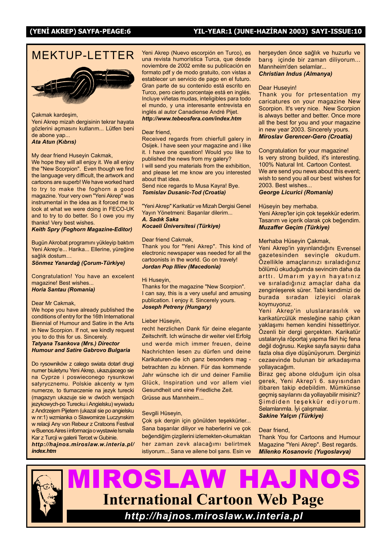#### (YENİ AKREP) SAYFA-PEAGE:6 YIL-YEAR:1 (JUNE-HAZİRAN 2003) SAYI-ISSUE:10

# MFKTUP-I FTTFR



#### Cakmak kardesim,

Yeni Akrep mizah dergisinin tekrar hayata gözlerini açmasını kutlarım... Lütfen beni de abone yap... Ata Atun (Kıbrıs)

#### My dear friend Huseyin Cakmak,

We hope they will all enjoy it. We all enjoy the "New Scorpion". Even though we find the language very difficult, the artwork and cartoons are superb! We have worked hard to try to make the foghorn a good magazine. Your very own "Yeni Akrep" was instrumental in the idea as it forced me to look at what we were doing in FECO-UK and to try to do better. So I owe you my thanks! Very best wishes.

#### Keith Spry (Foghorn Magazine-Editor)

Bugün Akrobat programını yükleyip baktım Yeni Akrep'e... Harika... Ellerine, yüreğine sağlık dostum...

Sönmez Yanardağ (Çorum-Türkiye)

Congratulation! You have an excelent magazine! Best wishes... Horia Santau (Romania)

#### Dear Mr Cakmak,

We hope you have already published the conditions of entry for the 16th International Biennial of Humour and Satire in the Arts in New Scorpion. If not, we kindly request you to do this for us. Sincerely.

#### Tatyana Tsankova (Mrs.) Director Humour and Satire Gabrovo Bulgaria

Do rysowników z calego swiata dotarl drugi numer biuletynu Yeni Akrep, ukazujacego sie na Cyprze i poswieconego rysunkowi satyrycznemu. Polskie akcenty w tym numerze, to tlumaczenie na jezyk turecki (magazyn ukazuje sie w dwóch wersjach jezykowych-po Turecku i Angielsku) wywiadu z Andrzejem Pijetem (ukazal sie po angielsku w nr:1) wzmianka o Slawomirze Luczynskim w relacji Any von Rebeur z Cratoons Festival w Buenos Aires i informacja o wystawie Ismaila Kar z Turcji w galerii Tercet w Gubinie.

http://hajnos.miroslaw.w.interia.pl/ index.htm

Yeni Akrep (Nuevo escorpión en Turco), es una revista humorística Turca, que desde noviembre de 2002 emite su publicación en formato pdf y de modo gratuito, con vistas a establecer un servicio de pago en el futuro. Gran parte de su contenido está escrito en Turco, pero cierto porcentaje está en inglés. Incluye viñetas mudas, inteligibles para todo el mundo, y una interesante entrevista en inglés al autor Canadiense André Pijet. http://www.tebeosfera.com/index.htm

#### Dear friend,

Received regards from chierfull galery in Osijek. I have seen your magazine and i like it. I have one question! Would you like to published the news from my galery? I will send you materials from the exhibition, and please let me know are you interested about that idea.

Send nice regards to Musa Kayra! Bye. Tomislav Dusanic-Tod (Croatia)

"Yeni Akrep" Karikatür ve Mizah Dergisi Genel Yayın Yönetmeni: Başarılar dilerim...

A. Sadık Saka Kocaeli Üniversitesi (Türkiye)

#### Dear friend Cakmak,

Thank you for "Yeni Akrep". This kind of electronic newspaper was needed for all the cartoonists in the world. Go on travely! Jordan Pop Illiev (Macedonia)

#### Hi Huseyin,

Thanks for the magazine "New Scorpion". I can say, this is a very useful and amusing publication. I enjoy it. Sincerely yours. Joseph Petreny (Hungary)

#### Lieber Hüseyin,

recht herzlichen Dank für deine elegante Zeitschrift. Ich wünsche dir weiter viel Erfolg und werde mich immer freuen, deine Nachrichten lesen zu dürfen und deine Karikaturen-die ich ganz besonders mag betrachten zu können. Für das kommende Jahr wünsche ich dir und deiner Familie Glück, Inspiration und vor allem viel Gesundheit und eine Friedliche Zeit. Grüsse aus Mannheim...

#### Sevgili Hüseyin,

Çok şık dergin için gönülden teşekkürler... Sana başarılar diliyor ve haberlerini ve çok beğendiğim çizgilerini izlemekten-okumaktan her zaman zevk alacağımı belirtmek istiyorum... Sana ve ailene bol şans. Esin ve herşeyden önce sağlık ve huzurlu ve barış içinde bir zaman diliyorum... Mannheim'den selamlar... Christian Indus (Almanya)

#### Dear Huseyin!

Thank you for prtesentation my caricatures on your magazine New Scorpion. It's very nice. New Scorpion is always better and better. Once more all the best for you and your magazine in new year 2003. Sincerely yours. Miroslav Gerencer-Gero (Croatia)

Congratulation for your magazine! Is very strong builded, it's interesting. 100% Natural Int. Cartoon Contest. We are send you news about this event; wish to send you all our best wishes for 2003. Best wishes...

#### George Licurici (Romania)

Hüseyin bey merhaba. Yeni Akrep'ler için çok teşekkür ederim. Tasarım ve içerik olarak çok beğendim. **Muzaffer Geçim (Türkiye)** 

#### Merhaba Hüseyin Çakmak,

Yeni Akrep'in yayınlandığını Evrensel gazetesinden sevincle okudum. Özellikle amaçlarınızı sıraladığınız bölümü okuduğumda sevincim daha da arttı. Umarım yayın hayatınız ve sıraladığınız amaçlar daha da zenginleşerek sürer. Tabii kendimizi de burada sıradan izleyici olarak koymuyoruz.

Yeni Akrep'in uluslararasılık ve karikatürcülük mesleğine sahip çıkan yaklaşımı hemen kendini hissettiriyor. Özenli bir dergi gerçekten. Karikatür ustalarıyla röportaj yapma fikri hiç fena değil doğrusu. Keşke sayfa sayısı daha fazla olsa diye düşünüyorum. Derginizi cezaevinde bulunan bir arkadaşıma vollayacağım.

Biraz geç abone olduğum için olsa gerek, Yeni Akrep'i 6. sayısından itibaren takip edebildim. Mümkünse geçmiş sayılarını da yollayabilir misiniz? Simdiden tesekkür ediyorum. Selamlarımla. İyi çalışmalar. Sakine Yalçın (Türkiye)

#### Dear friend,

Thank You for Cartoons and Humour Magazine "Yeni Akrep". Best regards. Milenko Kosanovic (Yugoslavya)

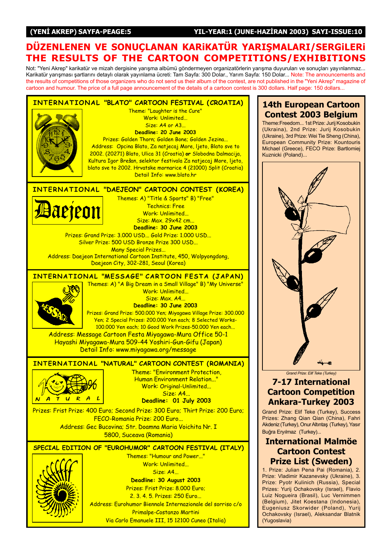#### (YENİ AKREP) SAYFA-PEAGE:5 YIL-YEAR:1 (JUNE-HAZİRAN 2003) SAYI-ISSUE:10

### DÜZENLENEN VE SONUÇLANAN KARIKATÜR YARIŞMALARI/SERGILERI THE RESULTS OF THE CARTOON COMPETITIONS/EXHIBITIONS

Not: "Yeni Akrep" karikatür ve mizah dergisine yarışma albümü göndermeyen organizatörlerin yarışma duyuruları ve sonuçları yayınlanmaz... The Term and producement of the antisement of gargetic yariginal as an americal generator generator. Yariginal organization of consigning and Karikatür variantlaminamine in the announcements and Karikatür variantlamine in the results of competitions of those organizers who do not send us their album of the contest, are not published in the "Yeni Akrep" magazine of cartoon and humour. The price of a full page announcement of the details of a cartoon contest is 300 dollars. Half page: 150 dollars...



Via Carlo Emanuele III, 15 12100 Cuneo (Italia)

#### 14th European Cartoon Contest 2003 Belgium

Theme:Freedom... 1st Prize: Jurij Kosobukin (Ukraina), 2nd Prize: Jurij Kosobukin (Ukraine), 3rd Prize: Wei Tie Sheng (China), European Community Prize: Kountouris Michael (Greece), FECO Prize: Bartlomiej Kuznicki (Poland)...



## 7-17 International Cartoon Competition Ankara-Turkey 2003

Grand Prize: Elif Teke (Turkey), Success Prizes: Zhang Qian Qian (China), Fahri Akdeniz (Turkey), Onur Altıntaş (Turkey), Yasır Buğra Eryılmaz (Turkey)...

#### International Malmöe Cartoon Contest Prize List (Sweden)

1. Prize: Julian Pena Pai (Romania), 2. Prize: Vladimir Kazanevsky (Ukraine), 3. Prize: Pyotr Kulinich (Russia), Special Prizes: Yurij Ochakovsky (Israel), Flavio Luiz Nogueira (Brasil), Luc Vernimmen (Belgium), Jitet Koestana (Indonesia), Eugeniusz Skorwider (Poland), Yurij Ochakovsky (Israel), Aleksandar Blatnik (Yugoslavia)